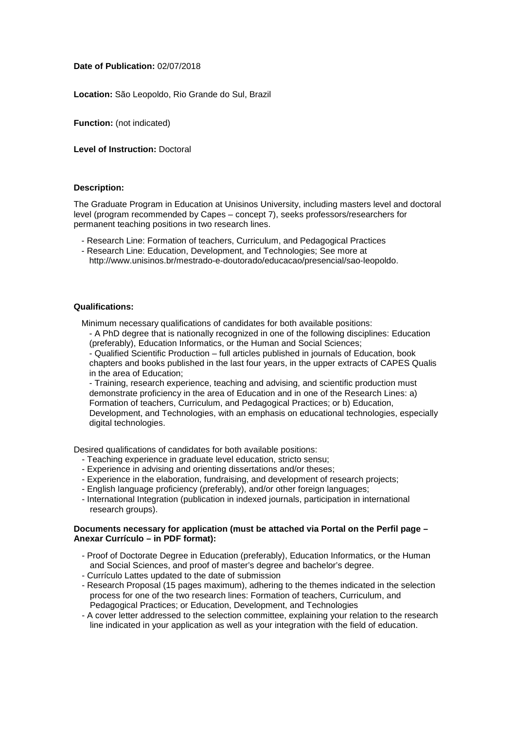## **Date of Publication:** 02/07/2018

**Location:** São Leopoldo, Rio Grande do Sul, Brazil

**Function:** (not indicated)

**Level of Instruction:** Doctoral

## **Description:**

The Graduate Program in Education at Unisinos University, including masters level and doctoral level (program recommended by Capes – concept 7), seeks professors/researchers for permanent teaching positions in two research lines.

- Research Line: Formation of teachers, Curriculum, and Pedagogical Practices
- Research Line: Education, Development, and Technologies; See more at
- http://www.unisinos.br/mestrado-e-doutorado/educacao/presencial/sao-leopoldo.

#### **Qualifications:**

Minimum necessary qualifications of candidates for both available positions:

- A PhD degree that is nationally recognized in one of the following disciplines: Education (preferably), Education Informatics, or the Human and Social Sciences;

- Qualified Scientific Production – full articles published in journals of Education, book chapters and books published in the last four years, in the upper extracts of CAPES Qualis in the area of Education;

- Training, research experience, teaching and advising, and scientific production must demonstrate proficiency in the area of Education and in one of the Research Lines: a) Formation of teachers, Curriculum, and Pedagogical Practices; or b) Education, Development, and Technologies, with an emphasis on educational technologies, especially digital technologies.

Desired qualifications of candidates for both available positions:

- Teaching experience in graduate level education, stricto sensu;
- Experience in advising and orienting dissertations and/or theses;
- Experience in the elaboration, fundraising, and development of research projects;
- English language proficiency (preferably), and/or other foreign languages;
- International Integration (publication in indexed journals, participation in international research groups).

#### **Documents necessary for application (must be attached via Portal on the Perfil page – Anexar Currículo – in PDF format):**

- Proof of Doctorate Degree in Education (preferably), Education Informatics, or the Human and Social Sciences, and proof of master's degree and bachelor's degree.
- Currículo Lattes updated to the date of submission
- Research Proposal (15 pages maximum), adhering to the themes indicated in the selection process for one of the two research lines: Formation of teachers, Curriculum, and Pedagogical Practices; or Education, Development, and Technologies
- A cover letter addressed to the selection committee, explaining your relation to the research line indicated in your application as well as your integration with the field of education.